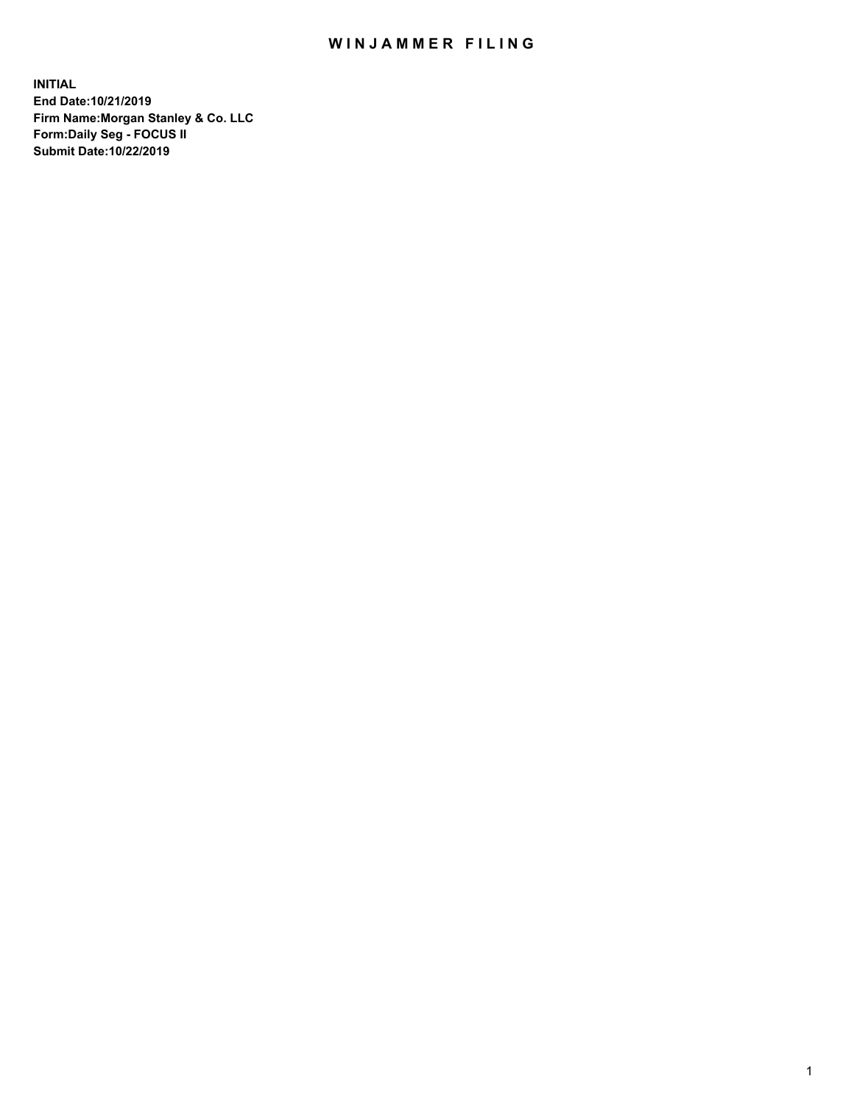## WIN JAMMER FILING

**INITIAL End Date:10/21/2019 Firm Name:Morgan Stanley & Co. LLC Form:Daily Seg - FOCUS II Submit Date:10/22/2019**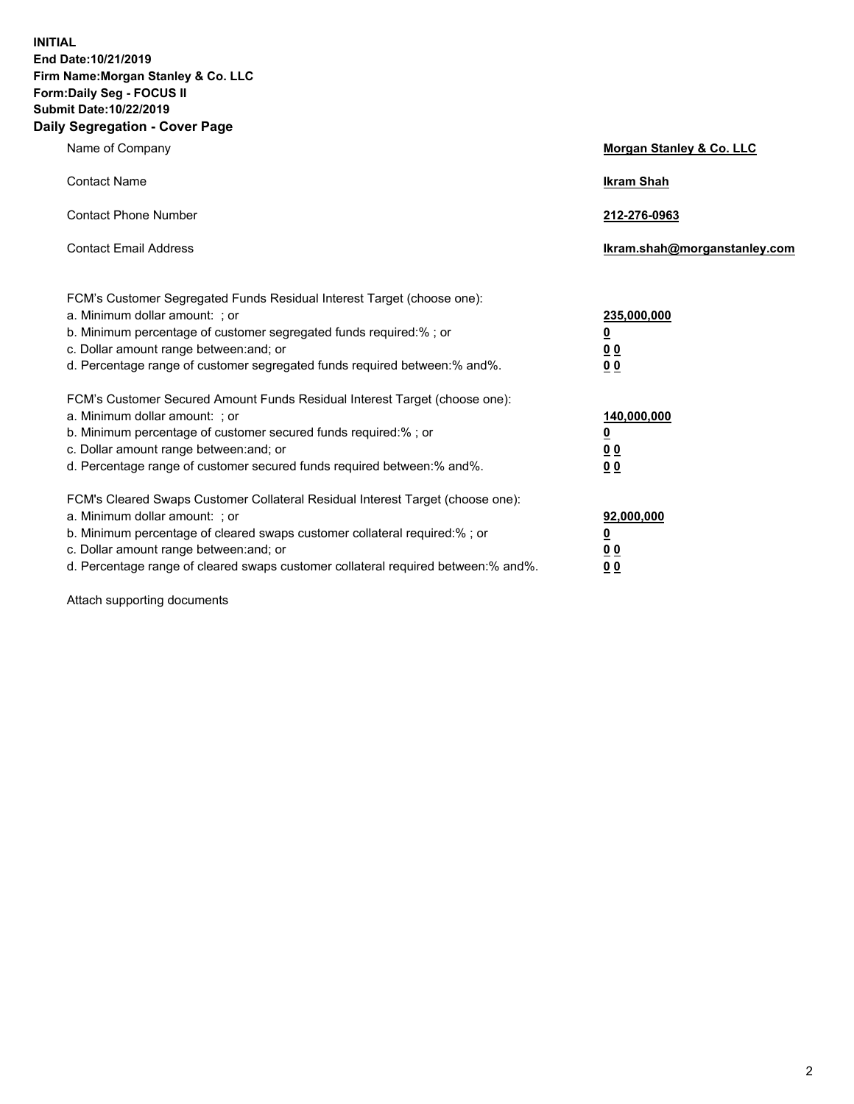**INITIAL End Date:10/21/2019 Firm Name:Morgan Stanley & Co. LLC Form:Daily Seg - FOCUS II Submit Date:10/22/2019 Daily Segregation - Cover Page**

| Name of Company                                                                                                                                                                                                                                                                                                                | Morgan Stanley & Co. LLC                               |
|--------------------------------------------------------------------------------------------------------------------------------------------------------------------------------------------------------------------------------------------------------------------------------------------------------------------------------|--------------------------------------------------------|
| <b>Contact Name</b>                                                                                                                                                                                                                                                                                                            | <b>Ikram Shah</b>                                      |
| <b>Contact Phone Number</b>                                                                                                                                                                                                                                                                                                    | 212-276-0963                                           |
| <b>Contact Email Address</b>                                                                                                                                                                                                                                                                                                   | Ikram.shah@morganstanley.com                           |
| FCM's Customer Segregated Funds Residual Interest Target (choose one):<br>a. Minimum dollar amount: ; or<br>b. Minimum percentage of customer segregated funds required:% ; or<br>c. Dollar amount range between: and; or<br>d. Percentage range of customer segregated funds required between:% and%.                         | 235,000,000<br><u>0</u><br>00<br>00                    |
| FCM's Customer Secured Amount Funds Residual Interest Target (choose one):<br>a. Minimum dollar amount: ; or<br>b. Minimum percentage of customer secured funds required:%; or<br>c. Dollar amount range between: and; or<br>d. Percentage range of customer secured funds required between: % and %.                          | 140,000,000<br><u>0</u><br><u>00</u><br>0 <sub>0</sub> |
| FCM's Cleared Swaps Customer Collateral Residual Interest Target (choose one):<br>a. Minimum dollar amount: ; or<br>b. Minimum percentage of cleared swaps customer collateral required:% ; or<br>c. Dollar amount range between: and; or<br>d. Percentage range of cleared swaps customer collateral required between:% and%. | 92,000,000<br><u>0</u><br>0 Q<br>00                    |

Attach supporting documents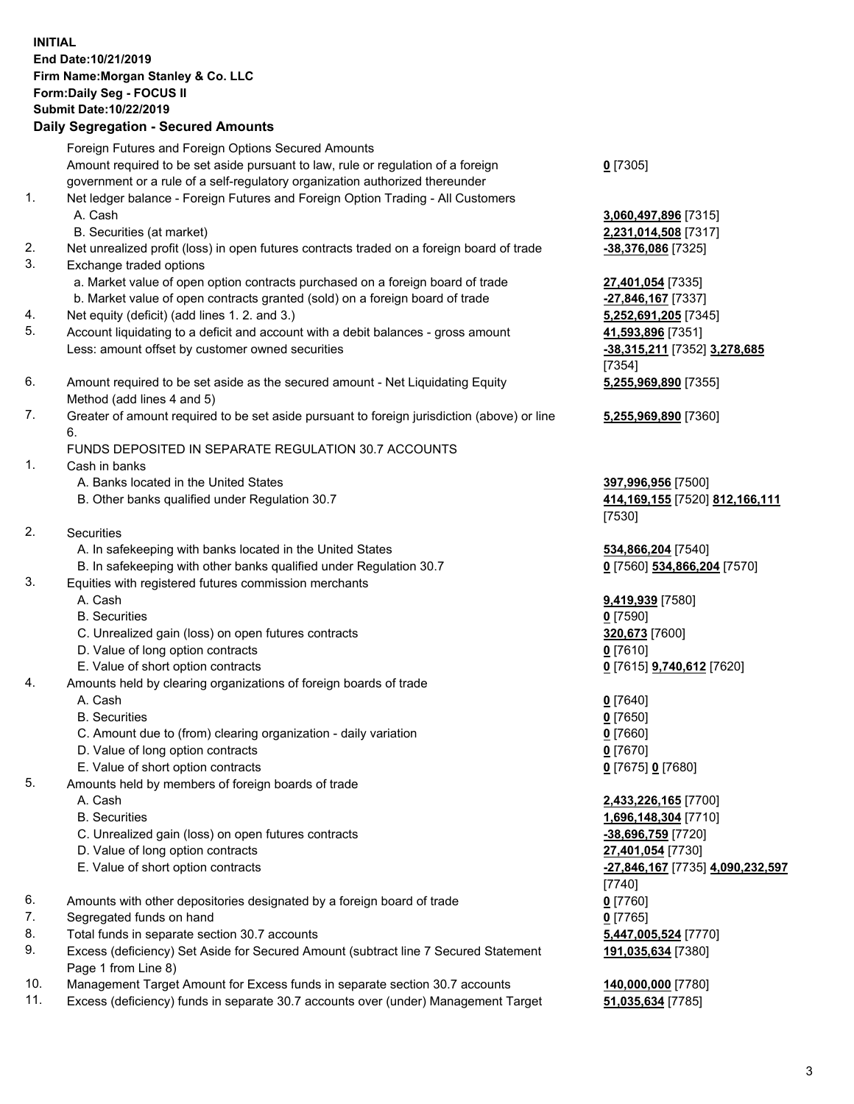## **INITIAL End Date:10/21/2019 Firm Name:Morgan Stanley & Co. LLC Form:Daily Seg - FOCUS II Submit Date:10/22/2019 Daily Segregation - Secured Amounts**

Foreign Futures and Foreign Options Secured Amounts Amount required to be set aside pursuant to law, rule or regulation of a foreign government or a rule of a self-regulatory organization authorized thereunder 1. Net ledger balance - Foreign Futures and Foreign Option Trading - All Customers A. Cash **3,060,497,896** [7315] B. Securities (at market) **2,231,014,508** [7317] 2. Net unrealized profit (loss) in open futures contracts traded on a foreign board of trade **-38,376,086** [7325] 3. Exchange traded options a. Market value of open option contracts purchased on a foreign board of trade **27,401,054** [7335] b. Market value of open contracts granted (sold) on a foreign board of trade **-27,846,167** [7337] 4. Net equity (deficit) (add lines 1. 2. and 3.) **5,252,691,205** [7345] 5. Account liquidating to a deficit and account with a debit balances - gross amount **41,593,896** [7351] Less: amount offset by customer owned securities **-38,315,211** [7352] **3,278,685** 6. Amount required to be set aside as the secured amount - Net Liquidating Equity Method (add lines 4 and 5) 7. Greater of amount required to be set aside pursuant to foreign jurisdiction (above) or line 6. FUNDS DEPOSITED IN SEPARATE REGULATION 30.7 ACCOUNTS 1. Cash in banks A. Banks located in the United States **397,996,956** [7500] B. Other banks qualified under Regulation 30.7 **414,169,155** [7520] **812,166,111** 2. Securities A. In safekeeping with banks located in the United States **534,866,204** [7540] B. In safekeeping with other banks qualified under Regulation 30.7 **0** [7560] **534,866,204** [7570] 3. Equities with registered futures commission merchants A. Cash **9,419,939** [7580] B. Securities **0** [7590] C. Unrealized gain (loss) on open futures contracts **320,673** [7600] D. Value of long option contracts **0** [7610] E. Value of short option contracts **0** [7615] **9,740,612** [7620] 4. Amounts held by clearing organizations of foreign boards of trade A. Cash **0** [7640] B. Securities **0** [7650] C. Amount due to (from) clearing organization - daily variation **0** [7660] D. Value of long option contracts **0** [7670] E. Value of short option contracts **0** [7675] **0** [7680] 5. Amounts held by members of foreign boards of trade A. Cash **2,433,226,165** [7700] B. Securities **1,696,148,304** [7710] C. Unrealized gain (loss) on open futures contracts **-38,696,759** [7720] D. Value of long option contracts **27,401,054** [7730]

- 
- 6. Amounts with other depositories designated by a foreign board of trade **0** [7760]
- 7. Segregated funds on hand **0** [7765]
- 8. Total funds in separate section 30.7 accounts **5,447,005,524** [7770]
- 9. Excess (deficiency) Set Aside for Secured Amount (subtract line 7 Secured Statement Page 1 from Line 8)
- 10. Management Target Amount for Excess funds in separate section 30.7 accounts **140,000,000** [7780]
- 11. Excess (deficiency) funds in separate 30.7 accounts over (under) Management Target **51,035,634** [7785]

**0** [7305]

[7354] **5,255,969,890** [7355]

**5,255,969,890** [7360]

[7530]

 E. Value of short option contracts **-27,846,167** [7735] **4,090,232,597** [7740] **191,035,634** [7380]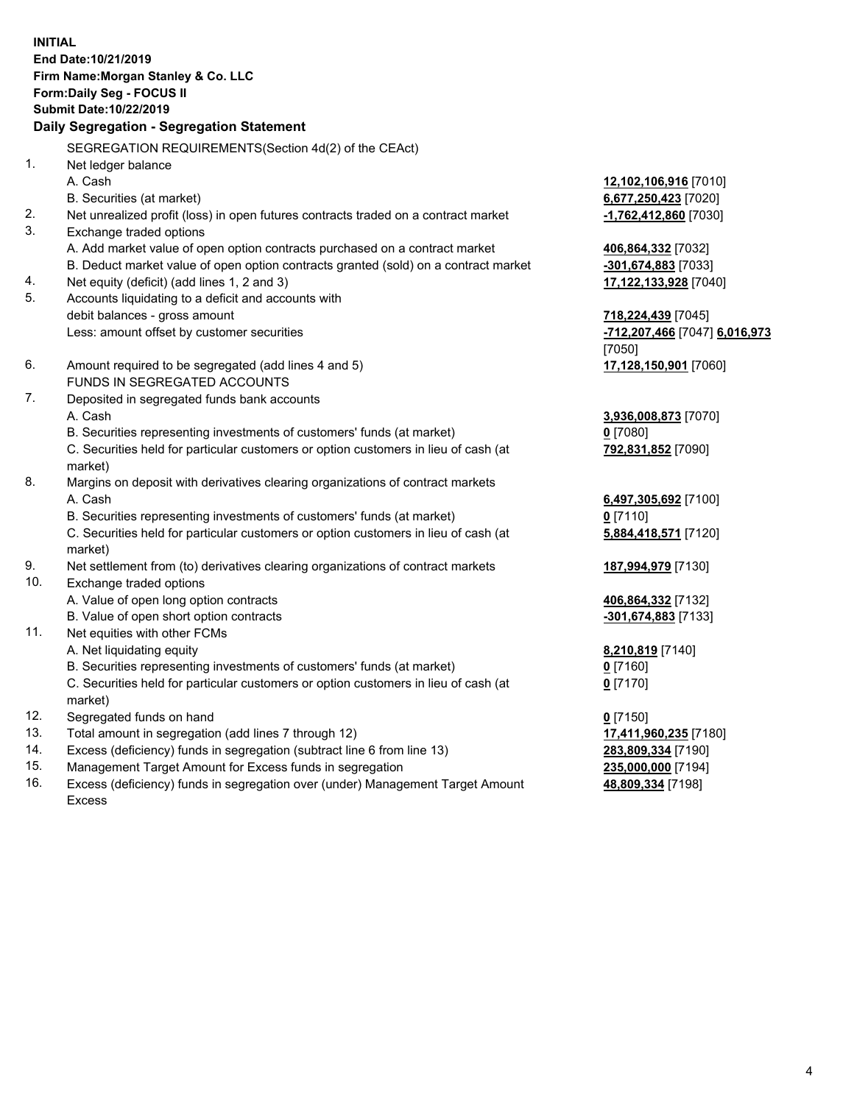**INITIAL End Date:10/21/2019 Firm Name:Morgan Stanley & Co. LLC Form:Daily Seg - FOCUS II Submit Date:10/22/2019 Daily Segregation - Segregation Statement** SEGREGATION REQUIREMENTS(Section 4d(2) of the CEAct) 1. Net ledger balance A. Cash **12,102,106,916** [7010] B. Securities (at market) **6,677,250,423** [7020] 2. Net unrealized profit (loss) in open futures contracts traded on a contract market **-1,762,412,860** [7030] 3. Exchange traded options A. Add market value of open option contracts purchased on a contract market **406,864,332** [7032] B. Deduct market value of open option contracts granted (sold) on a contract market **-301,674,883** [7033] 4. Net equity (deficit) (add lines 1, 2 and 3) **17,122,133,928** [7040] 5. Accounts liquidating to a deficit and accounts with debit balances - gross amount **718,224,439** [7045] Less: amount offset by customer securities **-712,207,466** [7047] **6,016,973** [7050] 6. Amount required to be segregated (add lines 4 and 5) **17,128,150,901** [7060] FUNDS IN SEGREGATED ACCOUNTS 7. Deposited in segregated funds bank accounts A. Cash **3,936,008,873** [7070] B. Securities representing investments of customers' funds (at market) **0** [7080] C. Securities held for particular customers or option customers in lieu of cash (at market) **792,831,852** [7090] 8. Margins on deposit with derivatives clearing organizations of contract markets A. Cash **6,497,305,692** [7100] B. Securities representing investments of customers' funds (at market) **0** [7110] C. Securities held for particular customers or option customers in lieu of cash (at market) **5,884,418,571** [7120] 9. Net settlement from (to) derivatives clearing organizations of contract markets **187,994,979** [7130] 10. Exchange traded options A. Value of open long option contracts **406,864,332** [7132] B. Value of open short option contracts **-301,674,883** [7133] 11. Net equities with other FCMs A. Net liquidating equity **8,210,819** [7140] B. Securities representing investments of customers' funds (at market) **0** [7160] C. Securities held for particular customers or option customers in lieu of cash (at market) **0** [7170] 12. Segregated funds on hand **0** [7150] 13. Total amount in segregation (add lines 7 through 12) **17,411,960,235** [7180] 14. Excess (deficiency) funds in segregation (subtract line 6 from line 13) **283,809,334** [7190]

- 15. Management Target Amount for Excess funds in segregation **235,000,000** [7194]
- 16. Excess (deficiency) funds in segregation over (under) Management Target Amount Excess

**48,809,334** [7198]